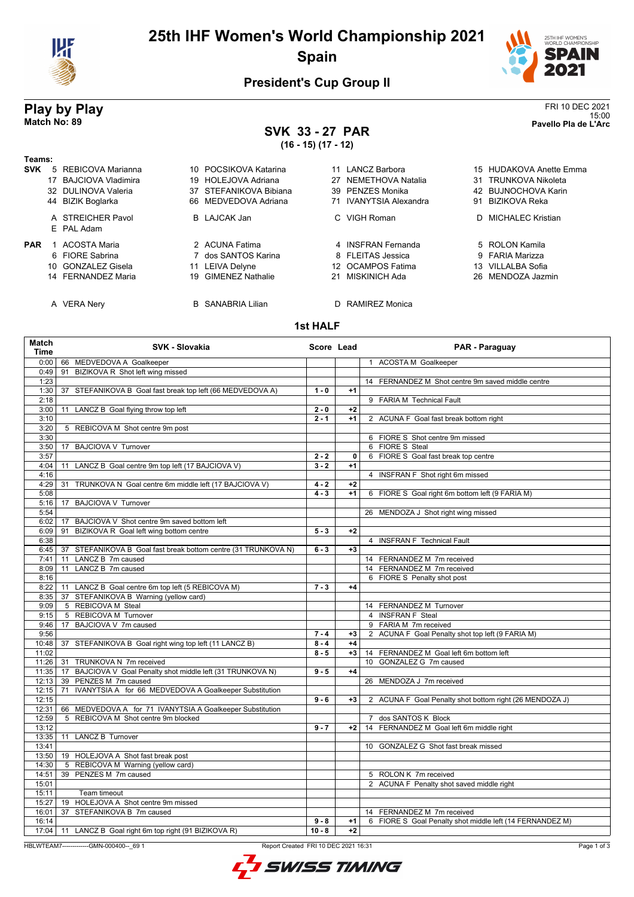

# **25th IHF Women's World Championship 2021 Spain**



## **President's Cup Group II**

## **SVK 33 - 27 PAR (16 - 15) (17 - 12)**

**Play by Play**<br>Match No: 89<br>Pavello Pla de L'Arc 15:00 **Match No: 89 Pavello Pla de L'Arc**

| נצו - ווין ניטו - טו |  |                                 |    |                        |  |                        |    |                         |
|----------------------|--|---------------------------------|----|------------------------|--|------------------------|----|-------------------------|
| Teams:               |  |                                 |    |                        |  |                        |    |                         |
| <b>SVK</b>           |  | 5 REBICOVA Marianna             |    | 10 POCSIKOVA Katarina  |  | 11 LANCZ Barbora       |    | 15 HUDAKOVA Anette Emma |
|                      |  | 17 BAJCIOVA Vladimira           |    | 19 HOLEJOVA Adriana    |  | 27 NEMETHOVA Natalia   |    | 31 TRUNKOVA Nikoleta    |
|                      |  | 32 DULINOVA Valeria             |    | 37 STEFANIKOVA Bibiana |  | 39 PENZES Monika       |    | 42 BUJNOCHOVA Karin     |
|                      |  | 44 BIZIK Boglarka               |    | 66 MEDVEDOVA Adriana   |  | 71 IVANYTSIA Alexandra | 91 | BIZIKOVA Reka           |
|                      |  | A STREICHER Pavol<br>E PAL Adam |    | <b>B</b> LAJCAK Jan    |  | C VIGH Roman           |    | D MICHALEC Kristian     |
| <b>PAR</b>           |  | <b>ACOSTA Maria</b>             |    | 2 ACUNA Fatima         |  | 4 INSFRAN Fernanda     |    | 5 ROLON Kamila          |
|                      |  | 6 FIORE Sabrina                 |    | 7 dos SANTOS Karina    |  | 8 FLEITAS Jessica      |    | 9 FARIA Marizza         |
|                      |  | 10 GONZALEZ Gisela              | 11 | LEIVA Delyne           |  | 12 OCAMPOS Fatima      |    | 13 VILLALBA Sofia       |
|                      |  | 14 FERNANDEZ Maria              |    | 19 GIMENEZ Nathalie    |  | 21 MISKINICH Ada       |    | 26 MENDOZA Jazmin       |

A VERA Nery B SANABRIA Lilian D RAMIREZ Monica

- 4 INSFRAN Fernanda **5 ROLON Kamila**
- 
- 10 GONZALEZ Gisela 11 LEIVA Delyne 12 OCAMPOS Fatima 13 VILLALBA Sofia

- orina alikuwa 6 FLEITAS Jessica alikuwa 19 FARIA Marizza
	-
	-

**1st HALF**

| 0:00<br>1 ACOSTA M Goalkeeper<br>66 MEDVEDOVA A Goalkeeper<br>BIZIKOVA R Shot left wing missed<br>0:49<br>91<br>1:23<br>14 FERNANDEZ M Shot centre 9m saved middle centre<br>1:30<br>37 STEFANIKOVA B Goal fast break top left (66 MEDVEDOVA A)<br>$1 - 0$<br>$+1$<br>2:18<br>9 FARIA M Technical Fault<br>3:00<br>LANCZ B Goal flying throw top left<br>$2 - 0$<br>$+2$<br>11<br>3:10<br>$2 - 1$<br>$+1$<br>2 ACUNA F Goal fast break bottom right<br>3:20<br>5 REBICOVA M Shot centre 9m post<br>3:30<br>6 FIORE S Shot centre 9m missed<br>3:50<br>17 BAJCIOVA V Turnover<br>6 FIORE S Steal<br>6 FIORE S Goal fast break top centre<br>3:57<br>$2 - 2$<br>0<br>4:04<br>LANCZ B Goal centre 9m top left (17 BAJCIOVA V)<br>$3 - 2$<br>$+1$<br>11<br>4:16<br>4 INSFRAN F Shot right 6m missed<br>4:29<br>TRUNKOVA N Goal centre 6m middle left (17 BAJCIOVA V)<br>$+2$<br>31<br>$4 - 2$<br>$+1$<br>6 FIORE S Goal right 6m bottom left (9 FARIA M)<br>5:08<br>$4 - 3$<br><b>BAJCIOVA V Turnover</b><br>5:16<br>17<br>5:54<br>26 MENDOZA J Shot right wing missed<br>6:02<br>BAJCIOVA V Shot centre 9m saved bottom left<br>17<br>BIZIKOVA R Goal left wing bottom centre<br>$+2$<br>6:09<br>$5 - 3$<br>91<br>6:38<br>4 INSFRAN F Technical Fault<br>37 STEFANIKOVA B Goal fast break bottom centre (31 TRUNKOVA N)<br>$+3$<br>6:45<br>$6 - 3$<br>LANCZ B 7m caused<br>14 FERNANDEZ M 7m received<br>7:41<br>11<br>11 LANCZ B 7m caused<br>14 FERNANDEZ M 7m received<br>8:09<br>6 FIORE S Penalty shot post<br>8:16<br>8:22<br>11 LANCZ B Goal centre 6m top left (5 REBICOVA M)<br>$7 - 3$<br>$+4$<br>37 STEFANIKOVA B Warning (yellow card)<br>8:35<br>5 REBICOVA M Steal<br>14 FERNANDEZ M Turnover<br>9:09<br>5 REBICOVA M Turnover<br>4 INSFRAN F Steal<br>9:15<br>BAJCIOVA V 7m caused<br>9 FARIA M 7m received<br>9:46<br>17<br>2 ACUNA F Goal Penalty shot top left (9 FARIA M)<br>9:56<br>$7 - 4$<br>$+3$<br>10:48<br>37 STEFANIKOVA B Goal right wing top left (11 LANCZ B)<br>$8 - 4$<br>$+4$<br>14 FERNANDEZ M Goal left 6m bottom left<br>11:02<br>$8 - 5$<br>$+3$<br>10 GONZALEZ G 7m caused<br>11:26<br>31 TRUNKOVA N 7m received<br>11:35<br>BAJCIOVA V Goal Penalty shot middle left (31 TRUNKOVA N)<br>$9 - 5$<br>$+4$<br>17<br>39 PENZES M 7m caused<br>12:13<br>26 MENDOZA J 7m received<br>IVANYTSIA A for 66 MEDVEDOVA A Goalkeeper Substitution<br>12:15<br>71<br>12:15<br>$9 - 6$<br>2 ACUNA F Goal Penalty shot bottom right (26 MENDOZA J)<br>$+3$<br>12:31<br>66 MEDVEDOVA A for 71 IVANYTSIA A Goalkeeper Substitution<br>5 REBICOVA M Shot centre 9m blocked<br>12:59<br>7 dos SANTOS K Block<br>13:12<br>$9 - 7$<br>14 FERNANDEZ M Goal left 6m middle right<br>$+2$<br><b>LANCZ B Turnover</b><br>13:35<br>11<br>13:41<br>10 GONZALEZ G Shot fast break missed<br>13:50<br>19 HOLEJOVA A Shot fast break post<br>5 REBICOVA M Warning (yellow card)<br>14:30<br>39 PENZES M 7m caused<br>14:51<br>5 ROLON K 7m received<br>2 ACUNA F Penalty shot saved middle right<br>15:01<br>15:11<br>Team timeout<br>19 HOLEJOVA A Shot centre 9m missed<br>15:27<br>37 STEFANIKOVA B 7m caused<br>16:01<br>14 FERNANDEZ M 7m received<br>16:14<br>6 FIORE S Goal Penalty shot middle left (14 FERNANDEZ M)<br>$9 - 8$<br>$+1$<br>17:04   11 LANCZ B Goal right 6m top right (91 BIZIKOVA R)<br>$10 - 8$<br>$+2$ | Match<br>Time | <b>SVK - Slovakia</b> | Score Lead | PAR - Paraguay |
|----------------------------------------------------------------------------------------------------------------------------------------------------------------------------------------------------------------------------------------------------------------------------------------------------------------------------------------------------------------------------------------------------------------------------------------------------------------------------------------------------------------------------------------------------------------------------------------------------------------------------------------------------------------------------------------------------------------------------------------------------------------------------------------------------------------------------------------------------------------------------------------------------------------------------------------------------------------------------------------------------------------------------------------------------------------------------------------------------------------------------------------------------------------------------------------------------------------------------------------------------------------------------------------------------------------------------------------------------------------------------------------------------------------------------------------------------------------------------------------------------------------------------------------------------------------------------------------------------------------------------------------------------------------------------------------------------------------------------------------------------------------------------------------------------------------------------------------------------------------------------------------------------------------------------------------------------------------------------------------------------------------------------------------------------------------------------------------------------------------------------------------------------------------------------------------------------------------------------------------------------------------------------------------------------------------------------------------------------------------------------------------------------------------------------------------------------------------------------------------------------------------------------------------------------------------------------------------------------------------------------------------------------------------------------------------------------------------------------------------------------------------------------------------------------------------------------------------------------------------------------------------------------------------------------------------------------------------------------------------------------------------------------------------------------------------------------------------------------------------------------------------------------------------------------------------------------------------------------------------------------------------------------------------------------------------------------------------|---------------|-----------------------|------------|----------------|
|                                                                                                                                                                                                                                                                                                                                                                                                                                                                                                                                                                                                                                                                                                                                                                                                                                                                                                                                                                                                                                                                                                                                                                                                                                                                                                                                                                                                                                                                                                                                                                                                                                                                                                                                                                                                                                                                                                                                                                                                                                                                                                                                                                                                                                                                                                                                                                                                                                                                                                                                                                                                                                                                                                                                                                                                                                                                                                                                                                                                                                                                                                                                                                                                                                                                                                                                        |               |                       |            |                |
|                                                                                                                                                                                                                                                                                                                                                                                                                                                                                                                                                                                                                                                                                                                                                                                                                                                                                                                                                                                                                                                                                                                                                                                                                                                                                                                                                                                                                                                                                                                                                                                                                                                                                                                                                                                                                                                                                                                                                                                                                                                                                                                                                                                                                                                                                                                                                                                                                                                                                                                                                                                                                                                                                                                                                                                                                                                                                                                                                                                                                                                                                                                                                                                                                                                                                                                                        |               |                       |            |                |
|                                                                                                                                                                                                                                                                                                                                                                                                                                                                                                                                                                                                                                                                                                                                                                                                                                                                                                                                                                                                                                                                                                                                                                                                                                                                                                                                                                                                                                                                                                                                                                                                                                                                                                                                                                                                                                                                                                                                                                                                                                                                                                                                                                                                                                                                                                                                                                                                                                                                                                                                                                                                                                                                                                                                                                                                                                                                                                                                                                                                                                                                                                                                                                                                                                                                                                                                        |               |                       |            |                |
|                                                                                                                                                                                                                                                                                                                                                                                                                                                                                                                                                                                                                                                                                                                                                                                                                                                                                                                                                                                                                                                                                                                                                                                                                                                                                                                                                                                                                                                                                                                                                                                                                                                                                                                                                                                                                                                                                                                                                                                                                                                                                                                                                                                                                                                                                                                                                                                                                                                                                                                                                                                                                                                                                                                                                                                                                                                                                                                                                                                                                                                                                                                                                                                                                                                                                                                                        |               |                       |            |                |
|                                                                                                                                                                                                                                                                                                                                                                                                                                                                                                                                                                                                                                                                                                                                                                                                                                                                                                                                                                                                                                                                                                                                                                                                                                                                                                                                                                                                                                                                                                                                                                                                                                                                                                                                                                                                                                                                                                                                                                                                                                                                                                                                                                                                                                                                                                                                                                                                                                                                                                                                                                                                                                                                                                                                                                                                                                                                                                                                                                                                                                                                                                                                                                                                                                                                                                                                        |               |                       |            |                |
|                                                                                                                                                                                                                                                                                                                                                                                                                                                                                                                                                                                                                                                                                                                                                                                                                                                                                                                                                                                                                                                                                                                                                                                                                                                                                                                                                                                                                                                                                                                                                                                                                                                                                                                                                                                                                                                                                                                                                                                                                                                                                                                                                                                                                                                                                                                                                                                                                                                                                                                                                                                                                                                                                                                                                                                                                                                                                                                                                                                                                                                                                                                                                                                                                                                                                                                                        |               |                       |            |                |
|                                                                                                                                                                                                                                                                                                                                                                                                                                                                                                                                                                                                                                                                                                                                                                                                                                                                                                                                                                                                                                                                                                                                                                                                                                                                                                                                                                                                                                                                                                                                                                                                                                                                                                                                                                                                                                                                                                                                                                                                                                                                                                                                                                                                                                                                                                                                                                                                                                                                                                                                                                                                                                                                                                                                                                                                                                                                                                                                                                                                                                                                                                                                                                                                                                                                                                                                        |               |                       |            |                |
|                                                                                                                                                                                                                                                                                                                                                                                                                                                                                                                                                                                                                                                                                                                                                                                                                                                                                                                                                                                                                                                                                                                                                                                                                                                                                                                                                                                                                                                                                                                                                                                                                                                                                                                                                                                                                                                                                                                                                                                                                                                                                                                                                                                                                                                                                                                                                                                                                                                                                                                                                                                                                                                                                                                                                                                                                                                                                                                                                                                                                                                                                                                                                                                                                                                                                                                                        |               |                       |            |                |
|                                                                                                                                                                                                                                                                                                                                                                                                                                                                                                                                                                                                                                                                                                                                                                                                                                                                                                                                                                                                                                                                                                                                                                                                                                                                                                                                                                                                                                                                                                                                                                                                                                                                                                                                                                                                                                                                                                                                                                                                                                                                                                                                                                                                                                                                                                                                                                                                                                                                                                                                                                                                                                                                                                                                                                                                                                                                                                                                                                                                                                                                                                                                                                                                                                                                                                                                        |               |                       |            |                |
|                                                                                                                                                                                                                                                                                                                                                                                                                                                                                                                                                                                                                                                                                                                                                                                                                                                                                                                                                                                                                                                                                                                                                                                                                                                                                                                                                                                                                                                                                                                                                                                                                                                                                                                                                                                                                                                                                                                                                                                                                                                                                                                                                                                                                                                                                                                                                                                                                                                                                                                                                                                                                                                                                                                                                                                                                                                                                                                                                                                                                                                                                                                                                                                                                                                                                                                                        |               |                       |            |                |
|                                                                                                                                                                                                                                                                                                                                                                                                                                                                                                                                                                                                                                                                                                                                                                                                                                                                                                                                                                                                                                                                                                                                                                                                                                                                                                                                                                                                                                                                                                                                                                                                                                                                                                                                                                                                                                                                                                                                                                                                                                                                                                                                                                                                                                                                                                                                                                                                                                                                                                                                                                                                                                                                                                                                                                                                                                                                                                                                                                                                                                                                                                                                                                                                                                                                                                                                        |               |                       |            |                |
|                                                                                                                                                                                                                                                                                                                                                                                                                                                                                                                                                                                                                                                                                                                                                                                                                                                                                                                                                                                                                                                                                                                                                                                                                                                                                                                                                                                                                                                                                                                                                                                                                                                                                                                                                                                                                                                                                                                                                                                                                                                                                                                                                                                                                                                                                                                                                                                                                                                                                                                                                                                                                                                                                                                                                                                                                                                                                                                                                                                                                                                                                                                                                                                                                                                                                                                                        |               |                       |            |                |
|                                                                                                                                                                                                                                                                                                                                                                                                                                                                                                                                                                                                                                                                                                                                                                                                                                                                                                                                                                                                                                                                                                                                                                                                                                                                                                                                                                                                                                                                                                                                                                                                                                                                                                                                                                                                                                                                                                                                                                                                                                                                                                                                                                                                                                                                                                                                                                                                                                                                                                                                                                                                                                                                                                                                                                                                                                                                                                                                                                                                                                                                                                                                                                                                                                                                                                                                        |               |                       |            |                |
|                                                                                                                                                                                                                                                                                                                                                                                                                                                                                                                                                                                                                                                                                                                                                                                                                                                                                                                                                                                                                                                                                                                                                                                                                                                                                                                                                                                                                                                                                                                                                                                                                                                                                                                                                                                                                                                                                                                                                                                                                                                                                                                                                                                                                                                                                                                                                                                                                                                                                                                                                                                                                                                                                                                                                                                                                                                                                                                                                                                                                                                                                                                                                                                                                                                                                                                                        |               |                       |            |                |
|                                                                                                                                                                                                                                                                                                                                                                                                                                                                                                                                                                                                                                                                                                                                                                                                                                                                                                                                                                                                                                                                                                                                                                                                                                                                                                                                                                                                                                                                                                                                                                                                                                                                                                                                                                                                                                                                                                                                                                                                                                                                                                                                                                                                                                                                                                                                                                                                                                                                                                                                                                                                                                                                                                                                                                                                                                                                                                                                                                                                                                                                                                                                                                                                                                                                                                                                        |               |                       |            |                |
|                                                                                                                                                                                                                                                                                                                                                                                                                                                                                                                                                                                                                                                                                                                                                                                                                                                                                                                                                                                                                                                                                                                                                                                                                                                                                                                                                                                                                                                                                                                                                                                                                                                                                                                                                                                                                                                                                                                                                                                                                                                                                                                                                                                                                                                                                                                                                                                                                                                                                                                                                                                                                                                                                                                                                                                                                                                                                                                                                                                                                                                                                                                                                                                                                                                                                                                                        |               |                       |            |                |
|                                                                                                                                                                                                                                                                                                                                                                                                                                                                                                                                                                                                                                                                                                                                                                                                                                                                                                                                                                                                                                                                                                                                                                                                                                                                                                                                                                                                                                                                                                                                                                                                                                                                                                                                                                                                                                                                                                                                                                                                                                                                                                                                                                                                                                                                                                                                                                                                                                                                                                                                                                                                                                                                                                                                                                                                                                                                                                                                                                                                                                                                                                                                                                                                                                                                                                                                        |               |                       |            |                |
|                                                                                                                                                                                                                                                                                                                                                                                                                                                                                                                                                                                                                                                                                                                                                                                                                                                                                                                                                                                                                                                                                                                                                                                                                                                                                                                                                                                                                                                                                                                                                                                                                                                                                                                                                                                                                                                                                                                                                                                                                                                                                                                                                                                                                                                                                                                                                                                                                                                                                                                                                                                                                                                                                                                                                                                                                                                                                                                                                                                                                                                                                                                                                                                                                                                                                                                                        |               |                       |            |                |
|                                                                                                                                                                                                                                                                                                                                                                                                                                                                                                                                                                                                                                                                                                                                                                                                                                                                                                                                                                                                                                                                                                                                                                                                                                                                                                                                                                                                                                                                                                                                                                                                                                                                                                                                                                                                                                                                                                                                                                                                                                                                                                                                                                                                                                                                                                                                                                                                                                                                                                                                                                                                                                                                                                                                                                                                                                                                                                                                                                                                                                                                                                                                                                                                                                                                                                                                        |               |                       |            |                |
|                                                                                                                                                                                                                                                                                                                                                                                                                                                                                                                                                                                                                                                                                                                                                                                                                                                                                                                                                                                                                                                                                                                                                                                                                                                                                                                                                                                                                                                                                                                                                                                                                                                                                                                                                                                                                                                                                                                                                                                                                                                                                                                                                                                                                                                                                                                                                                                                                                                                                                                                                                                                                                                                                                                                                                                                                                                                                                                                                                                                                                                                                                                                                                                                                                                                                                                                        |               |                       |            |                |
|                                                                                                                                                                                                                                                                                                                                                                                                                                                                                                                                                                                                                                                                                                                                                                                                                                                                                                                                                                                                                                                                                                                                                                                                                                                                                                                                                                                                                                                                                                                                                                                                                                                                                                                                                                                                                                                                                                                                                                                                                                                                                                                                                                                                                                                                                                                                                                                                                                                                                                                                                                                                                                                                                                                                                                                                                                                                                                                                                                                                                                                                                                                                                                                                                                                                                                                                        |               |                       |            |                |
|                                                                                                                                                                                                                                                                                                                                                                                                                                                                                                                                                                                                                                                                                                                                                                                                                                                                                                                                                                                                                                                                                                                                                                                                                                                                                                                                                                                                                                                                                                                                                                                                                                                                                                                                                                                                                                                                                                                                                                                                                                                                                                                                                                                                                                                                                                                                                                                                                                                                                                                                                                                                                                                                                                                                                                                                                                                                                                                                                                                                                                                                                                                                                                                                                                                                                                                                        |               |                       |            |                |
|                                                                                                                                                                                                                                                                                                                                                                                                                                                                                                                                                                                                                                                                                                                                                                                                                                                                                                                                                                                                                                                                                                                                                                                                                                                                                                                                                                                                                                                                                                                                                                                                                                                                                                                                                                                                                                                                                                                                                                                                                                                                                                                                                                                                                                                                                                                                                                                                                                                                                                                                                                                                                                                                                                                                                                                                                                                                                                                                                                                                                                                                                                                                                                                                                                                                                                                                        |               |                       |            |                |
|                                                                                                                                                                                                                                                                                                                                                                                                                                                                                                                                                                                                                                                                                                                                                                                                                                                                                                                                                                                                                                                                                                                                                                                                                                                                                                                                                                                                                                                                                                                                                                                                                                                                                                                                                                                                                                                                                                                                                                                                                                                                                                                                                                                                                                                                                                                                                                                                                                                                                                                                                                                                                                                                                                                                                                                                                                                                                                                                                                                                                                                                                                                                                                                                                                                                                                                                        |               |                       |            |                |
|                                                                                                                                                                                                                                                                                                                                                                                                                                                                                                                                                                                                                                                                                                                                                                                                                                                                                                                                                                                                                                                                                                                                                                                                                                                                                                                                                                                                                                                                                                                                                                                                                                                                                                                                                                                                                                                                                                                                                                                                                                                                                                                                                                                                                                                                                                                                                                                                                                                                                                                                                                                                                                                                                                                                                                                                                                                                                                                                                                                                                                                                                                                                                                                                                                                                                                                                        |               |                       |            |                |
|                                                                                                                                                                                                                                                                                                                                                                                                                                                                                                                                                                                                                                                                                                                                                                                                                                                                                                                                                                                                                                                                                                                                                                                                                                                                                                                                                                                                                                                                                                                                                                                                                                                                                                                                                                                                                                                                                                                                                                                                                                                                                                                                                                                                                                                                                                                                                                                                                                                                                                                                                                                                                                                                                                                                                                                                                                                                                                                                                                                                                                                                                                                                                                                                                                                                                                                                        |               |                       |            |                |
|                                                                                                                                                                                                                                                                                                                                                                                                                                                                                                                                                                                                                                                                                                                                                                                                                                                                                                                                                                                                                                                                                                                                                                                                                                                                                                                                                                                                                                                                                                                                                                                                                                                                                                                                                                                                                                                                                                                                                                                                                                                                                                                                                                                                                                                                                                                                                                                                                                                                                                                                                                                                                                                                                                                                                                                                                                                                                                                                                                                                                                                                                                                                                                                                                                                                                                                                        |               |                       |            |                |
|                                                                                                                                                                                                                                                                                                                                                                                                                                                                                                                                                                                                                                                                                                                                                                                                                                                                                                                                                                                                                                                                                                                                                                                                                                                                                                                                                                                                                                                                                                                                                                                                                                                                                                                                                                                                                                                                                                                                                                                                                                                                                                                                                                                                                                                                                                                                                                                                                                                                                                                                                                                                                                                                                                                                                                                                                                                                                                                                                                                                                                                                                                                                                                                                                                                                                                                                        |               |                       |            |                |
|                                                                                                                                                                                                                                                                                                                                                                                                                                                                                                                                                                                                                                                                                                                                                                                                                                                                                                                                                                                                                                                                                                                                                                                                                                                                                                                                                                                                                                                                                                                                                                                                                                                                                                                                                                                                                                                                                                                                                                                                                                                                                                                                                                                                                                                                                                                                                                                                                                                                                                                                                                                                                                                                                                                                                                                                                                                                                                                                                                                                                                                                                                                                                                                                                                                                                                                                        |               |                       |            |                |
|                                                                                                                                                                                                                                                                                                                                                                                                                                                                                                                                                                                                                                                                                                                                                                                                                                                                                                                                                                                                                                                                                                                                                                                                                                                                                                                                                                                                                                                                                                                                                                                                                                                                                                                                                                                                                                                                                                                                                                                                                                                                                                                                                                                                                                                                                                                                                                                                                                                                                                                                                                                                                                                                                                                                                                                                                                                                                                                                                                                                                                                                                                                                                                                                                                                                                                                                        |               |                       |            |                |
|                                                                                                                                                                                                                                                                                                                                                                                                                                                                                                                                                                                                                                                                                                                                                                                                                                                                                                                                                                                                                                                                                                                                                                                                                                                                                                                                                                                                                                                                                                                                                                                                                                                                                                                                                                                                                                                                                                                                                                                                                                                                                                                                                                                                                                                                                                                                                                                                                                                                                                                                                                                                                                                                                                                                                                                                                                                                                                                                                                                                                                                                                                                                                                                                                                                                                                                                        |               |                       |            |                |
|                                                                                                                                                                                                                                                                                                                                                                                                                                                                                                                                                                                                                                                                                                                                                                                                                                                                                                                                                                                                                                                                                                                                                                                                                                                                                                                                                                                                                                                                                                                                                                                                                                                                                                                                                                                                                                                                                                                                                                                                                                                                                                                                                                                                                                                                                                                                                                                                                                                                                                                                                                                                                                                                                                                                                                                                                                                                                                                                                                                                                                                                                                                                                                                                                                                                                                                                        |               |                       |            |                |
|                                                                                                                                                                                                                                                                                                                                                                                                                                                                                                                                                                                                                                                                                                                                                                                                                                                                                                                                                                                                                                                                                                                                                                                                                                                                                                                                                                                                                                                                                                                                                                                                                                                                                                                                                                                                                                                                                                                                                                                                                                                                                                                                                                                                                                                                                                                                                                                                                                                                                                                                                                                                                                                                                                                                                                                                                                                                                                                                                                                                                                                                                                                                                                                                                                                                                                                                        |               |                       |            |                |
|                                                                                                                                                                                                                                                                                                                                                                                                                                                                                                                                                                                                                                                                                                                                                                                                                                                                                                                                                                                                                                                                                                                                                                                                                                                                                                                                                                                                                                                                                                                                                                                                                                                                                                                                                                                                                                                                                                                                                                                                                                                                                                                                                                                                                                                                                                                                                                                                                                                                                                                                                                                                                                                                                                                                                                                                                                                                                                                                                                                                                                                                                                                                                                                                                                                                                                                                        |               |                       |            |                |
|                                                                                                                                                                                                                                                                                                                                                                                                                                                                                                                                                                                                                                                                                                                                                                                                                                                                                                                                                                                                                                                                                                                                                                                                                                                                                                                                                                                                                                                                                                                                                                                                                                                                                                                                                                                                                                                                                                                                                                                                                                                                                                                                                                                                                                                                                                                                                                                                                                                                                                                                                                                                                                                                                                                                                                                                                                                                                                                                                                                                                                                                                                                                                                                                                                                                                                                                        |               |                       |            |                |
|                                                                                                                                                                                                                                                                                                                                                                                                                                                                                                                                                                                                                                                                                                                                                                                                                                                                                                                                                                                                                                                                                                                                                                                                                                                                                                                                                                                                                                                                                                                                                                                                                                                                                                                                                                                                                                                                                                                                                                                                                                                                                                                                                                                                                                                                                                                                                                                                                                                                                                                                                                                                                                                                                                                                                                                                                                                                                                                                                                                                                                                                                                                                                                                                                                                                                                                                        |               |                       |            |                |
|                                                                                                                                                                                                                                                                                                                                                                                                                                                                                                                                                                                                                                                                                                                                                                                                                                                                                                                                                                                                                                                                                                                                                                                                                                                                                                                                                                                                                                                                                                                                                                                                                                                                                                                                                                                                                                                                                                                                                                                                                                                                                                                                                                                                                                                                                                                                                                                                                                                                                                                                                                                                                                                                                                                                                                                                                                                                                                                                                                                                                                                                                                                                                                                                                                                                                                                                        |               |                       |            |                |
|                                                                                                                                                                                                                                                                                                                                                                                                                                                                                                                                                                                                                                                                                                                                                                                                                                                                                                                                                                                                                                                                                                                                                                                                                                                                                                                                                                                                                                                                                                                                                                                                                                                                                                                                                                                                                                                                                                                                                                                                                                                                                                                                                                                                                                                                                                                                                                                                                                                                                                                                                                                                                                                                                                                                                                                                                                                                                                                                                                                                                                                                                                                                                                                                                                                                                                                                        |               |                       |            |                |
|                                                                                                                                                                                                                                                                                                                                                                                                                                                                                                                                                                                                                                                                                                                                                                                                                                                                                                                                                                                                                                                                                                                                                                                                                                                                                                                                                                                                                                                                                                                                                                                                                                                                                                                                                                                                                                                                                                                                                                                                                                                                                                                                                                                                                                                                                                                                                                                                                                                                                                                                                                                                                                                                                                                                                                                                                                                                                                                                                                                                                                                                                                                                                                                                                                                                                                                                        |               |                       |            |                |
|                                                                                                                                                                                                                                                                                                                                                                                                                                                                                                                                                                                                                                                                                                                                                                                                                                                                                                                                                                                                                                                                                                                                                                                                                                                                                                                                                                                                                                                                                                                                                                                                                                                                                                                                                                                                                                                                                                                                                                                                                                                                                                                                                                                                                                                                                                                                                                                                                                                                                                                                                                                                                                                                                                                                                                                                                                                                                                                                                                                                                                                                                                                                                                                                                                                                                                                                        |               |                       |            |                |
|                                                                                                                                                                                                                                                                                                                                                                                                                                                                                                                                                                                                                                                                                                                                                                                                                                                                                                                                                                                                                                                                                                                                                                                                                                                                                                                                                                                                                                                                                                                                                                                                                                                                                                                                                                                                                                                                                                                                                                                                                                                                                                                                                                                                                                                                                                                                                                                                                                                                                                                                                                                                                                                                                                                                                                                                                                                                                                                                                                                                                                                                                                                                                                                                                                                                                                                                        |               |                       |            |                |
|                                                                                                                                                                                                                                                                                                                                                                                                                                                                                                                                                                                                                                                                                                                                                                                                                                                                                                                                                                                                                                                                                                                                                                                                                                                                                                                                                                                                                                                                                                                                                                                                                                                                                                                                                                                                                                                                                                                                                                                                                                                                                                                                                                                                                                                                                                                                                                                                                                                                                                                                                                                                                                                                                                                                                                                                                                                                                                                                                                                                                                                                                                                                                                                                                                                                                                                                        |               |                       |            |                |
|                                                                                                                                                                                                                                                                                                                                                                                                                                                                                                                                                                                                                                                                                                                                                                                                                                                                                                                                                                                                                                                                                                                                                                                                                                                                                                                                                                                                                                                                                                                                                                                                                                                                                                                                                                                                                                                                                                                                                                                                                                                                                                                                                                                                                                                                                                                                                                                                                                                                                                                                                                                                                                                                                                                                                                                                                                                                                                                                                                                                                                                                                                                                                                                                                                                                                                                                        |               |                       |            |                |
|                                                                                                                                                                                                                                                                                                                                                                                                                                                                                                                                                                                                                                                                                                                                                                                                                                                                                                                                                                                                                                                                                                                                                                                                                                                                                                                                                                                                                                                                                                                                                                                                                                                                                                                                                                                                                                                                                                                                                                                                                                                                                                                                                                                                                                                                                                                                                                                                                                                                                                                                                                                                                                                                                                                                                                                                                                                                                                                                                                                                                                                                                                                                                                                                                                                                                                                                        |               |                       |            |                |
|                                                                                                                                                                                                                                                                                                                                                                                                                                                                                                                                                                                                                                                                                                                                                                                                                                                                                                                                                                                                                                                                                                                                                                                                                                                                                                                                                                                                                                                                                                                                                                                                                                                                                                                                                                                                                                                                                                                                                                                                                                                                                                                                                                                                                                                                                                                                                                                                                                                                                                                                                                                                                                                                                                                                                                                                                                                                                                                                                                                                                                                                                                                                                                                                                                                                                                                                        |               |                       |            |                |
|                                                                                                                                                                                                                                                                                                                                                                                                                                                                                                                                                                                                                                                                                                                                                                                                                                                                                                                                                                                                                                                                                                                                                                                                                                                                                                                                                                                                                                                                                                                                                                                                                                                                                                                                                                                                                                                                                                                                                                                                                                                                                                                                                                                                                                                                                                                                                                                                                                                                                                                                                                                                                                                                                                                                                                                                                                                                                                                                                                                                                                                                                                                                                                                                                                                                                                                                        |               |                       |            |                |
|                                                                                                                                                                                                                                                                                                                                                                                                                                                                                                                                                                                                                                                                                                                                                                                                                                                                                                                                                                                                                                                                                                                                                                                                                                                                                                                                                                                                                                                                                                                                                                                                                                                                                                                                                                                                                                                                                                                                                                                                                                                                                                                                                                                                                                                                                                                                                                                                                                                                                                                                                                                                                                                                                                                                                                                                                                                                                                                                                                                                                                                                                                                                                                                                                                                                                                                                        |               |                       |            |                |
|                                                                                                                                                                                                                                                                                                                                                                                                                                                                                                                                                                                                                                                                                                                                                                                                                                                                                                                                                                                                                                                                                                                                                                                                                                                                                                                                                                                                                                                                                                                                                                                                                                                                                                                                                                                                                                                                                                                                                                                                                                                                                                                                                                                                                                                                                                                                                                                                                                                                                                                                                                                                                                                                                                                                                                                                                                                                                                                                                                                                                                                                                                                                                                                                                                                                                                                                        |               |                       |            |                |
|                                                                                                                                                                                                                                                                                                                                                                                                                                                                                                                                                                                                                                                                                                                                                                                                                                                                                                                                                                                                                                                                                                                                                                                                                                                                                                                                                                                                                                                                                                                                                                                                                                                                                                                                                                                                                                                                                                                                                                                                                                                                                                                                                                                                                                                                                                                                                                                                                                                                                                                                                                                                                                                                                                                                                                                                                                                                                                                                                                                                                                                                                                                                                                                                                                                                                                                                        |               |                       |            |                |
|                                                                                                                                                                                                                                                                                                                                                                                                                                                                                                                                                                                                                                                                                                                                                                                                                                                                                                                                                                                                                                                                                                                                                                                                                                                                                                                                                                                                                                                                                                                                                                                                                                                                                                                                                                                                                                                                                                                                                                                                                                                                                                                                                                                                                                                                                                                                                                                                                                                                                                                                                                                                                                                                                                                                                                                                                                                                                                                                                                                                                                                                                                                                                                                                                                                                                                                                        |               |                       |            |                |
|                                                                                                                                                                                                                                                                                                                                                                                                                                                                                                                                                                                                                                                                                                                                                                                                                                                                                                                                                                                                                                                                                                                                                                                                                                                                                                                                                                                                                                                                                                                                                                                                                                                                                                                                                                                                                                                                                                                                                                                                                                                                                                                                                                                                                                                                                                                                                                                                                                                                                                                                                                                                                                                                                                                                                                                                                                                                                                                                                                                                                                                                                                                                                                                                                                                                                                                                        |               |                       |            |                |

HBLWTEAM7-------------GMN-000400--\_69 1 Report Created FRI 10 DEC 2021 16:31

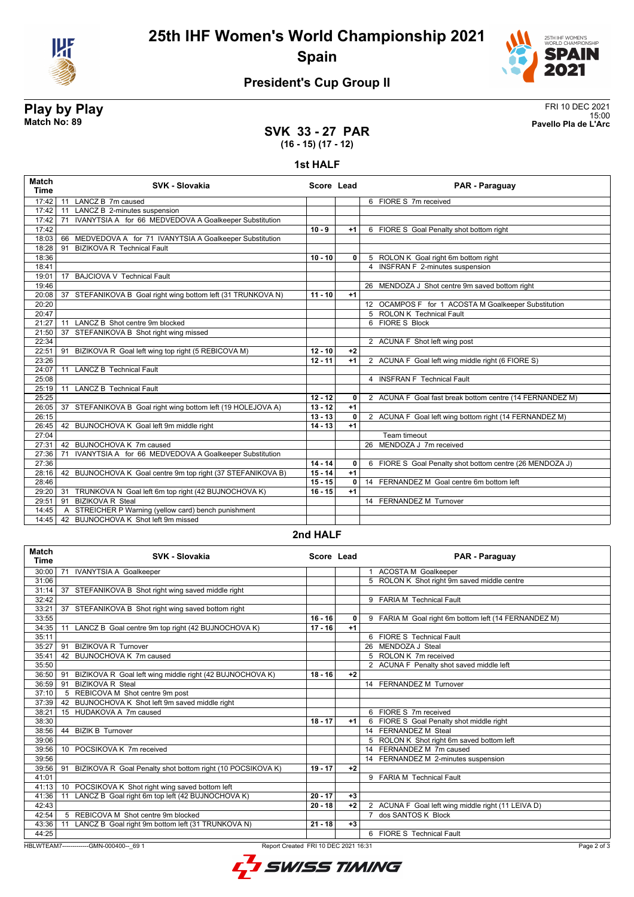

**25th IHF Women's World Championship 2021 Spain**



## **President's Cup Group II**

**Play by Play**<br>Match No: 89<br>Pavello Pla de L'Arc 15:00 **Match No: 89 Pavello Pla de L'Arc**

### **SVK 33 - 27 PAR (16 - 15) (17 - 12)**

### **1st HALF**

| <b>Match</b><br><b>Time</b> | SVK - Slovakia                                                  | Score Lead |              | PAR - Paraguay                                           |
|-----------------------------|-----------------------------------------------------------------|------------|--------------|----------------------------------------------------------|
| 17:42                       | LANCZ B 7m caused<br>11                                         |            |              | 6 FIORE S 7m received                                    |
| 17:42                       | LANCZ B 2-minutes suspension<br>11                              |            |              |                                                          |
| 17:42                       | IVANYTSIA A for 66 MEDVEDOVA A Goalkeeper Substitution<br>71    |            |              |                                                          |
| 17:42                       |                                                                 | $10 - 9$   | $+1$         | 6 FIORE S Goal Penalty shot bottom right                 |
| 18:03                       | MEDVEDOVA A for 71 IVANYTSIA A Goalkeeper Substitution<br>66    |            |              |                                                          |
| 18:28                       | <b>BIZIKOVA R Technical Fault</b><br>91                         |            |              |                                                          |
| 18:36                       |                                                                 | $10 - 10$  | 0            | 5 ROLON K Goal right 6m bottom right                     |
| 18:41                       |                                                                 |            |              | 4 INSFRAN F 2-minutes suspension                         |
| 19:01                       | BAJCIOVA V Technical Fault<br>17                                |            |              |                                                          |
| 19:46                       |                                                                 |            |              | 26 MENDOZA J Shot centre 9m saved bottom right           |
| 20:08                       | 37<br>STEFANIKOVA B Goal right wing bottom left (31 TRUNKOVA N) | $11 - 10$  | $+1$         |                                                          |
| 20:20                       |                                                                 |            |              | 12 OCAMPOS F for 1 ACOSTA M Goalkeeper Substitution      |
| 20:47                       |                                                                 |            |              | 5 ROLON K Technical Fault                                |
| 21:27                       | LANCZ B Shot centre 9m blocked<br>11                            |            |              | 6 FIORE S Block                                          |
| 21:50                       | 37<br>STEFANIKOVA B Shot right wing missed                      |            |              |                                                          |
| 22:34                       |                                                                 |            |              | 2 ACUNA F Shot left wing post                            |
| 22:51                       | BIZIKOVA R Goal left wing top right (5 REBICOVA M)<br>91        | $12 - 10$  | $+2$         |                                                          |
| 23:26                       |                                                                 | $12 - 11$  | $+1$         | 2 ACUNA F Goal left wing middle right (6 FIORE S)        |
| 24:07                       | <b>LANCZ B Technical Fault</b><br>11                            |            |              |                                                          |
| 25:08                       |                                                                 |            |              | 4 INSFRAN F Technical Fault                              |
| 25:19                       | <b>LANCZ B Technical Fault</b><br>11                            |            |              |                                                          |
| 25:25                       |                                                                 | $12 - 12$  | $\mathbf{0}$ | 2 ACUNA F Goal fast break bottom centre (14 FERNANDEZ M) |
| 26:05                       | 37 STEFANIKOVA B Goal right wing bottom left (19 HOLEJOVA A)    | $13 - 12$  | $+1$         |                                                          |
| 26:15                       |                                                                 | $13 - 13$  | 0            | 2 ACUNA F Goal left wing bottom right (14 FERNANDEZ M)   |
| 26:45                       | 42 BUJNOCHOVA K Goal left 9m middle right                       | $14 - 13$  | $+1$         |                                                          |
| 27:04                       |                                                                 |            |              | Team timeout                                             |
| 27:31                       | 42 BUJNOCHOVA K 7m caused                                       |            |              | 26 MENDOZA J 7m received                                 |
| 27:36                       | IVANYTSIA A for 66 MEDVEDOVA A Goalkeeper Substitution<br>71    |            |              |                                                          |
| 27:36                       |                                                                 | $14 - 14$  | 0            | 6 FIORE S Goal Penalty shot bottom centre (26 MENDOZA J) |
| 28:16                       | 42 BUJNOCHOVA K Goal centre 9m top right (37 STEFANIKOVA B)     | $15 - 14$  | $+1$         |                                                          |
| 28:46                       |                                                                 | $15 - 15$  | $\mathbf{0}$ | 14 FERNANDEZ M Goal centre 6m bottom left                |
| 29:20                       | TRUNKOVA N Goal left 6m top right (42 BUJNOCHOVA K)<br>31       | $16 - 15$  | $+1$         |                                                          |
| 29:51                       | <b>BIZIKOVA R Steal</b><br>91                                   |            |              | 14 FERNANDEZ M Turnover                                  |
| 14:45                       | STREICHER P Warning (yellow card) bench punishment<br>A         |            |              |                                                          |
| 14:45                       | 42 BUJNOCHOVA K Shot left 9m missed                             |            |              |                                                          |

### **2nd HALF**

| <b>Match</b><br><b>Time</b> | <b>SVK - Slovakia</b>                                                                          | Score Lead |      | PAR - Paraguay                                       |  |
|-----------------------------|------------------------------------------------------------------------------------------------|------------|------|------------------------------------------------------|--|
| 30:00                       | 71<br><b>IVANYTSIA A Goalkeeper</b>                                                            |            |      | 1 ACOSTA M Goalkeeper                                |  |
| 31:06                       |                                                                                                |            |      | 5 ROLON K Shot right 9m saved middle centre          |  |
| 31:14                       | 37 STEFANIKOVA B Shot right wing saved middle right                                            |            |      |                                                      |  |
| 32:42                       |                                                                                                |            |      | 9 FARIA M Technical Fault                            |  |
| 33:21                       | 37 STEFANIKOVA B Shot right wing saved bottom right                                            |            |      |                                                      |  |
| 33:55                       |                                                                                                | $16 - 16$  | 0    | 9 FARIA M Goal right 6m bottom left (14 FERNANDEZ M) |  |
| 34:35                       | LANCZ B Goal centre 9m top right (42 BUJNOCHOVA K)<br>11                                       | $17 - 16$  | $+1$ |                                                      |  |
| 35:11                       |                                                                                                |            |      | 6 FIORE S Technical Fault                            |  |
| 35:27                       | 91 BIZIKOVA R Turnover                                                                         |            |      | 26 MENDOZA J Steal                                   |  |
| 35:41                       | 42 BUJNOCHOVA K 7m caused                                                                      |            |      | 5 ROLON K 7m received                                |  |
| 35:50                       |                                                                                                |            |      | 2 ACUNA F Penalty shot saved middle left             |  |
| 36:50                       | 91 BIZIKOVA R Goal left wing middle right (42 BUJNOCHOVA K)                                    | $18 - 16$  | $+2$ |                                                      |  |
| 36:59                       | <b>BIZIKOVA R Steal</b><br>91                                                                  |            |      | 14 FERNANDEZ M Turnover                              |  |
| 37:10                       | 5 REBICOVA M Shot centre 9m post                                                               |            |      |                                                      |  |
| 37:39                       | 42 BUJNOCHOVA K Shot left 9m saved middle right                                                |            |      |                                                      |  |
| 38:21                       | 15 HUDAKOVA A 7m caused                                                                        |            |      | 6 FIORE S 7m received                                |  |
| 38:30                       |                                                                                                | $18 - 17$  | $+1$ | 6 FIORE S Goal Penalty shot middle right             |  |
| 38:56                       | 44 BIZIK B Turnover                                                                            |            |      | 14 FERNANDEZ M Steal                                 |  |
| 39:06                       |                                                                                                |            |      | 5 ROLON K Shot right 6m saved bottom left            |  |
| 39:56                       | POCSIKOVA K 7m received<br>10                                                                  |            |      | 14 FERNANDEZ M 7m caused                             |  |
| 39:56                       |                                                                                                |            |      | 14 FERNANDEZ M 2-minutes suspension                  |  |
| 39:56                       | 91 BIZIKOVA R Goal Penalty shot bottom right (10 POCSIKOVA K)                                  | $19 - 17$  | $+2$ |                                                      |  |
| 41:01                       |                                                                                                |            |      | 9 FARIA M Technical Fault                            |  |
| 41:13                       | 10 POCSIKOVA K Shot right wing saved bottom left                                               |            |      |                                                      |  |
| 41:36                       | LANCZ B Goal right 6m top left (42 BUJNOCHOVA K)<br>11                                         | $20 - 17$  | $+3$ |                                                      |  |
| 42:43                       |                                                                                                | $20 - 18$  | $+2$ | 2 ACUNA F Goal left wing middle right (11 LEIVA D)   |  |
| 42:54                       | 5 REBICOVA M Shot centre 9m blocked                                                            |            |      | dos SANTOS K Block                                   |  |
| 43:36                       | 11 LANCZ B Goal right 9m bottom left (31 TRUNKOVA N)                                           | $21 - 18$  | $+3$ |                                                      |  |
| 44:25                       |                                                                                                |            |      | 6 FIORE S Technical Fault                            |  |
|                             | HBLWTEAM7-------------GMN-000400-- 69 1<br>Page 2 of 3<br>Report Created FRI 10 DEC 2021 16:31 |            |      |                                                      |  |

L SWISS TIMING